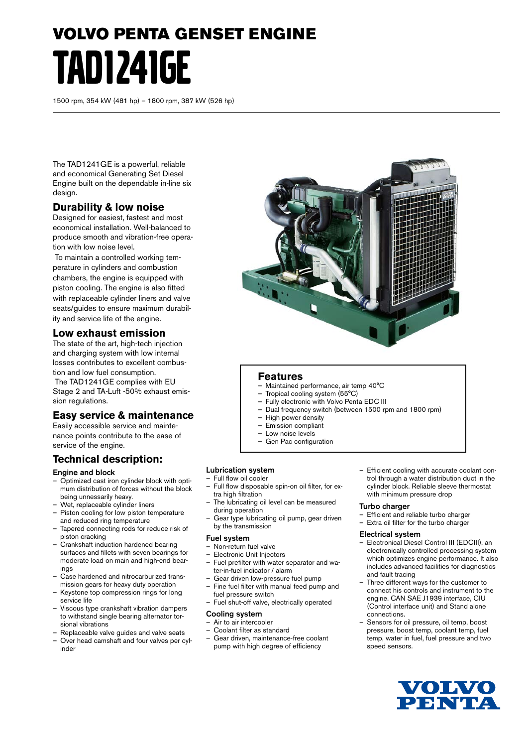# VOLVO PENTA GENSET ENGINE TAD1241GE

1500 rpm, 354 kW (481 hp) – 1800 rpm, 387 kW (526 hp)

The TAD1241GE is a powerful, reliable and economical Generating Set Diesel Engine built on the dependable in-line six design.

# **Durability & low noise**

Designed for easiest, fastest and most economical installation. Well-balanced to produce smooth and vibration-free operation with low noise level.

 To maintain a controlled working temperature in cylinders and combustion chambers, the engine is equipped with piston cooling. The engine is also fitted with replaceable cylinder liners and valve seats/guides to ensure maximum durability and service life of the engine.

## **Low exhaust emission**

The state of the art, high-tech injection and charging system with low internal losses contributes to excellent combustion and low fuel consumption.

 The TAD1241GE complies with EU Stage 2 and TA-Luft -50% exhaust emission regulations.

# **Easy service & maintenance**

Easily accessible service and maintenance points contribute to the ease of service of the engine.

# **Technical description:**

#### Engine and block

- Optimized cast iron cylinder block with optimum distribution of forces without the block being unnessarily heavy.
- Wet, replaceable cylinder liners
- Piston cooling for low piston temperature and reduced ring temperature
- Tapered connecting rods for reduce risk of piston cracking
- Crankshaft induction hardened bearing surfaces and fillets with seven bearings for moderate load on main and high-end bearings
- Case hardened and nitrocarburized transmission gears for heavy duty operation
- Keystone top compression rings for long service life
- Viscous type crankshaft vibration dampers to withstand single bearing alternator torsional vibrations
- Replaceable valve guides and valve seats
- Over head camshaft and four valves per cylinder



### **Features**

- Maintained performance, air temp 40°C
- Tropical cooling system (55°C)
- Fully electronic with Volvo Penta EDC III
- Dual frequency switch (between 1500 rpm and 1800 rpm)
- High power density
- Emission compliant
- Low noise levels – Gen Pac configuration
- 

#### Lubrication system

#### – Full flow oil cooler

- Full flow disposable spin-on oil filter, for extra high filtration
- The lubricating oil level can be measured during operation
- Gear type lubricating oil pump, gear driven by the transmission

#### Fuel system

- Non-return fuel valve
- Electronic Unit Injectors
- Fuel prefilter with water separator and water-in-fuel indicator / alarm
- Gear driven low-pressure fuel pump
- Fine fuel filter with manual feed pump and fuel pressure switch
- Fuel shut-off valve, electrically operated

#### Cooling system

- Air to air intercooler
- Coolant filter as standard
- Gear driven, maintenance-free coolant pump with high degree of efficiency

– Efficient cooling with accurate coolant control through a water distribution duct in the cylinder block. Reliable sleeve thermostat with minimum pressure drop

#### Turbo charger

- Efficient and reliable turbo charger
- Extra oil filter for the turbo charger

#### Electrical system

- Electronical Diesel Control III (EDCIII), an electronically controlled processing system which optimizes engine performance. It also includes advanced facilities for diagnostics and fault tracing
- Three different ways for the customer to connect his controls and instrument to the engine. CAN SAE J1939 interface, CIU (Control interface unit) and Stand alone connections.
- Sensors for oil pressure, oil temp, boost pressure, boost temp, coolant temp, fuel temp, water in fuel, fuel pressure and two speed sensors.